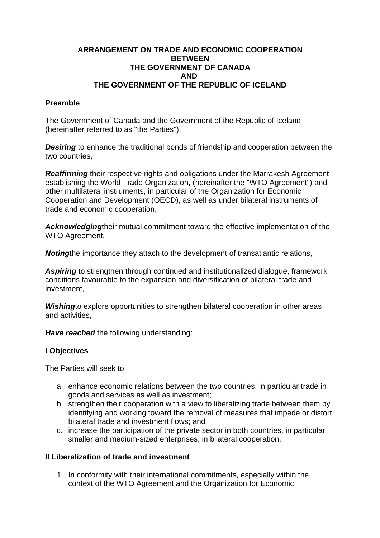### **ARRANGEMENT ON TRADE AND ECONOMIC COOPERATION BETWEEN THE GOVERNMENT OF CANADA AND THE GOVERNMENT OF THE REPUBLIC OF ICELAND**

### **Preamble**

The Government of Canada and the Government of the Republic of Iceland (hereinafter referred to as "the Parties"),

**Desiring** to enhance the traditional bonds of friendship and cooperation between the two countries,

*Reaffirming* their respective rights and obligations under the Marrakesh Agreement establishing the World Trade Organization, (hereinafter the "WTO Agreement") and other multilateral instruments, in particular of the Organization for Economic Cooperation and Development (OECD), as well as under bilateral instruments of trade and economic cooperation,

*Acknowledging*their mutual commitment toward the effective implementation of the WTO Agreement,

*Noting*the importance they attach to the development of transatlantic relations,

*Aspiring* to strengthen through continued and institutionalized dialogue, framework conditions favourable to the expansion and diversification of bilateral trade and investment,

*Wishing*to explore opportunities to strengthen bilateral cooperation in other areas and activities,

*Have reached* the following understanding:

#### **I Objectives**

The Parties will seek to:

- a. enhance economic relations between the two countries, in particular trade in goods and services as well as investment;
- b. strengthen their cooperation with a view to liberalizing trade between them by identifying and working toward the removal of measures that impede or distort bilateral trade and investment flows; and
- c. increase the participation of the private sector in both countries, in particular smaller and medium-sized enterprises, in bilateral cooperation.

#### **II Liberalization of trade and investment**

1. In conformity with their international commitments, especially within the context of the WTO Agreement and the Organization for Economic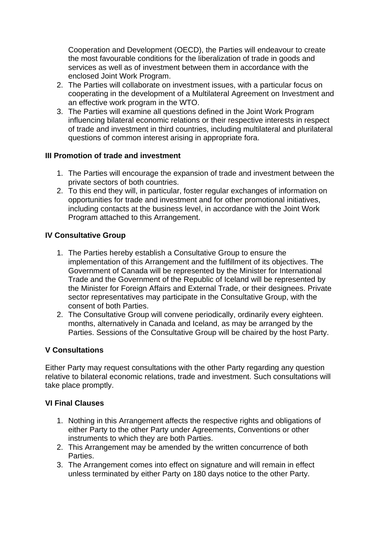Cooperation and Development (OECD), the Parties will endeavour to create the most favourable conditions for the liberalization of trade in goods and services as well as of investment between them in accordance with the enclosed Joint Work Program.

- 2. The Parties will collaborate on investment issues, with a particular focus on cooperating in the development of a Multilateral Agreement on Investment and an effective work program in the WTO.
- 3. The Parties will examine all questions defined in the Joint Work Program influencing bilateral economic relations or their respective interests in respect of trade and investment in third countries, including multilateral and plurilateral questions of common interest arising in appropriate fora.

# **III Promotion of trade and investment**

- 1. The Parties will encourage the expansion of trade and investment between the private sectors of both countries.
- 2. To this end they will, in particular, foster regular exchanges of information on opportunities for trade and investment and for other promotional initiatives, including contacts at the business level, in accordance with the Joint Work Program attached to this Arrangement.

# **IV Consultative Group**

- 1. The Parties hereby establish a Consultative Group to ensure the implementation of this Arrangement and the fulfillment of its objectives. The Government of Canada will be represented by the Minister for International Trade and the Government of the Republic of Iceland will be represented by the Minister for Foreign Affairs and External Trade, or their designees. Private sector representatives may participate in the Consultative Group, with the consent of both Parties.
- 2. The Consultative Group will convene periodically, ordinarily every eighteen. months, alternatively in Canada and Iceland, as may be arranged by the Parties. Sessions of the Consultative Group will be chaired by the host Party.

# **V Consultations**

Either Party may request consultations with the other Party regarding any question relative to bilateral economic relations, trade and investment. Such consultations will take place promptly.

# **VI Final Clauses**

- 1. Nothing in this Arrangement affects the respective rights and obligations of either Party to the other Party under Agreements, Conventions or other instruments to which they are both Parties.
- 2. This Arrangement may be amended by the written concurrence of both **Parties**
- 3. The Arrangement comes into effect on signature and will remain in effect unless terminated by either Party on 180 days notice to the other Party.